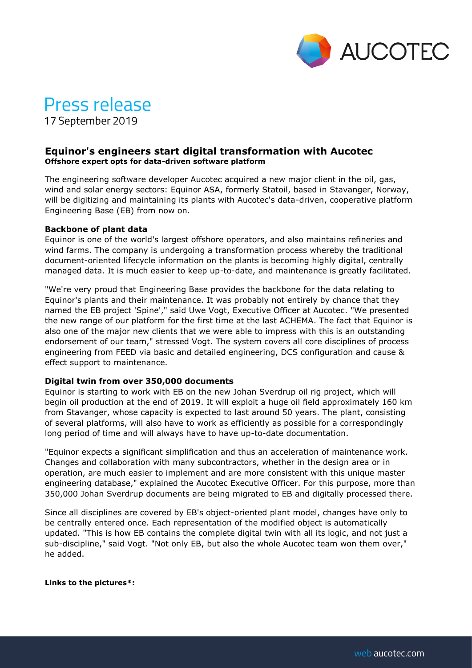

# Press release

17 September 2019

## **Equinor's engineers start digital transformation with Aucotec Offshore expert opts for data-driven software platform**

The engineering software developer Aucotec acquired a new major client in the oil, gas, wind and solar energy sectors: Equinor ASA, formerly Statoil, based in Stavanger, Norway, will be digitizing and maintaining its plants with Aucotec's data-driven, cooperative platform Engineering Base (EB) from now on.

### **Backbone of plant data**

Equinor is one of the world's largest offshore operators, and also maintains refineries and wind farms. The company is undergoing a transformation process whereby the traditional document-oriented lifecycle information on the plants is becoming highly digital, centrally managed data. It is much easier to keep up-to-date, and maintenance is greatly facilitated.

"We're very proud that Engineering Base provides the backbone for the data relating to Equinor's plants and their maintenance. It was probably not entirely by chance that they named the EB project 'Spine'," said Uwe Vogt, Executive Officer at Aucotec. "We presented the new range of our platform for the first time at the last ACHEMA. The fact that Equinor is also one of the major new clients that we were able to impress with this is an outstanding endorsement of our team," stressed Vogt. The system covers all core disciplines of process engineering from FEED via basic and detailed engineering, DCS configuration and cause & effect support to maintenance.

#### **Digital twin from over 350,000 documents**

Equinor is starting to work with EB on the new Johan Sverdrup oil rig project, which will begin oil production at the end of 2019. It will exploit a huge oil field approximately 160 km from Stavanger, whose capacity is expected to last around 50 years. The plant, consisting of several platforms, will also have to work as efficiently as possible for a correspondingly long period of time and will always have to have up-to-date documentation.

"Equinor expects a significant simplification and thus an acceleration of maintenance work. Changes and collaboration with many subcontractors, whether in the design area or in operation, are much easier to implement and are more consistent with this unique master engineering database," explained the Aucotec Executive Officer. For this purpose, more than 350,000 Johan Sverdrup documents are being migrated to EB and digitally processed there.

Since all disciplines are covered by EB's object-oriented plant model, changes have only to be centrally entered once. Each representation of the modified object is automatically updated. "This is how EB contains the complete digital twin with all its logic, and not just a sub-discipline," said Vogt. "Not only EB, but also the whole Aucotec team won them over," he added.

#### **Links to the pictures\*:**